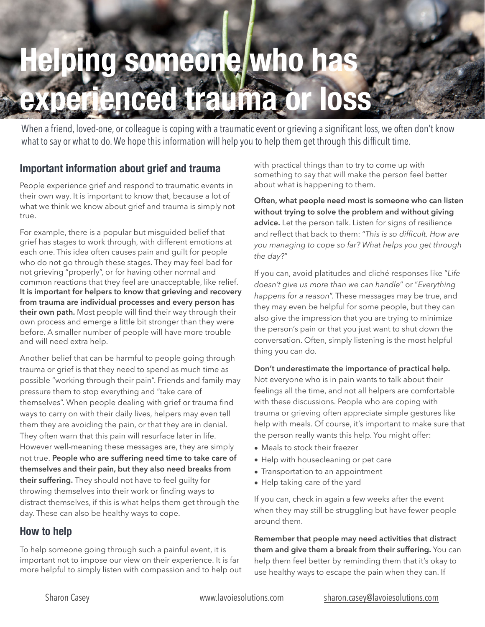# **Helping someone/who has**

# erienced trauma or los

When a friend, loved-one, or colleague is coping with a traumatic event or grieving a significant loss, we often don't know what to say or what to do. We hope this information will help you to help them get through this difficult time.

# **Important information about grief and trauma**

People experience grief and respond to traumatic events in their own way. It is important to know that, because a lot of what we think we know about grief and trauma is simply not true.

For example, there is a popular but misguided belief that grief has stages to work through, with different emotions at each one. This idea often causes pain and guilt for people who do not go through these stages. They may feel bad for not grieving "properly", or for having other normal and common reactions that they feel are unacceptable, like relief. **It is important for helpers to know that grieving and recovery from trauma are individual processes and every person has their own path.** Most people will find their way through their own process and emerge a little bit stronger than they were before. A smaller number of people will have more trouble and will need extra help.

Another belief that can be harmful to people going through trauma or grief is that they need to spend as much time as possible "working through their pain". Friends and family may pressure them to stop everything and "take care of themselves". When people dealing with grief or trauma find ways to carry on with their daily lives, helpers may even tell them they are avoiding the pain, or that they are in denial. They often warn that this pain will resurface later in life. However well-meaning these messages are, they are simply not true. **People who are suffering need time to take care of themselves and their pain, but they also need breaks from their suffering.** They should not have to feel guilty for throwing themselves into their work or finding ways to distract themselves, if this is what helps them get through the day. These can also be healthy ways to cope.

# **How to help**

To help someone going through such a painful event, it is important not to impose our view on their experience. It is far more helpful to simply listen with compassion and to help out with practical things than to try to come up with something to say that will make the person feel better about what is happening to them.

**Often, what people need most is someone who can listen without trying to solve the problem and without giving advice.** Let the person talk. Listen for signs of resilience and reflect that back to them: "*This is so difficult. How are you managing to cope so far? What helps you get through the day?*"

If you can, avoid platitudes and cliché responses like "*Life doesn't give us more than we can handle*" or "*Everything happens for a reason*". These messages may be true, and they may even be helpful for some people, but they can also give the impression that you are trying to minimize the person's pain or that you just want to shut down the conversation. Often, simply listening is the most helpful thing you can do.

#### **Don't underestimate the importance of practical help.**

Not everyone who is in pain wants to talk about their feelings all the time, and not all helpers are comfortable with these discussions. People who are coping with trauma or grieving often appreciate simple gestures like help with meals. Of course, it's important to make sure that the person really wants this help. You might offer:

- Meals to stock their freezer
- Help with housecleaning or pet care
- Transportation to an appointment
- Help taking care of the yard

If you can, check in again a few weeks after the event when they may still be struggling but have fewer people around them.

**Remember that people may need activities that distract them and give them a break from their suffering.** You can help them feel better by reminding them that it's okay to use healthy ways to escape the pain when they can. If